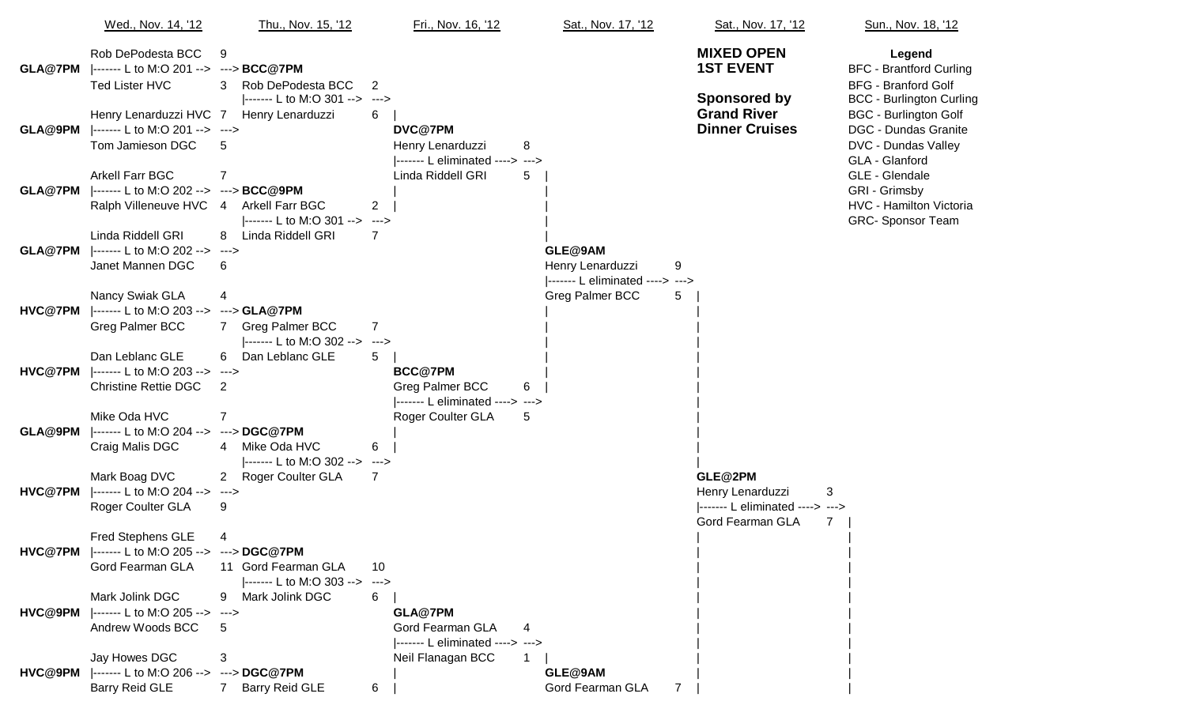|         | Wed., Nov. 14, '12                                                                                               | Thu., Nov. 15, '12                                                         | Fri., Nov. 16, '12                                                                 | Sat., Nov. 17, '12                                 | Sat., Nov. 17, '12                                                                  | <b>Sun., Nov. 18</b>                                                                                   |
|---------|------------------------------------------------------------------------------------------------------------------|----------------------------------------------------------------------------|------------------------------------------------------------------------------------|----------------------------------------------------|-------------------------------------------------------------------------------------|--------------------------------------------------------------------------------------------------------|
|         | Rob DePodesta BCC<br><b>GLA@7PM</b>  ------- L to M:O 201 --> ---> <b>BCC@7PM</b><br><b>Ted Lister HVC</b>       | 9<br>3<br>Rob DePodesta BCC                                                | 2                                                                                  |                                                    | <b>MIXED OPEN</b><br><b>1ST EVENT</b>                                               | Legend<br><b>BFC</b> - Brantford<br><b>BFG</b> - Branford                                              |
| GLA@9PM | Henry Lenarduzzi HVC 7<br> ------- L to M:O 201 --> ---><br>Tom Jamieson DGC                                     | ------- L to M:O 301 --> ---><br>Henry Lenarduzzi<br>5                     | 6<br>DVC@7PM<br>Henry Lenarduzzi<br> ------- L eliminated ----> --->               | 8                                                  | <b>Sponsored by</b><br><b>Grand River</b><br><b>Dinner Cruises</b>                  | <b>BCC - Burlingto</b><br><b>BGC - Burlingto</b><br>DGC - Dundas (<br>DVC - Dundas \<br>GLA - Glanford |
|         | <b>Arkell Farr BGC</b><br><b>GLA@7PM</b>  ------- L to M:O 202 --> ---> <b>BCC@9PM</b><br>Ralph Villeneuve HVC 4 | $\overline{7}$<br><b>Arkell Farr BGC</b><br> ------- L to M:O 301 --> ---> | Linda Riddell GRI<br>2                                                             | 5                                                  |                                                                                     | GLE - Glendale<br>GRI - Grimsby<br>HVC - Hamilton<br>GRC-Sponsor                                       |
| GLA@7PM | Linda Riddell GRI<br> ------- L to M:O 202 --> ---><br>Janet Mannen DGC                                          | Linda Riddell GRI<br>8<br>6                                                | 7                                                                                  | GLE@9AM<br>Henry Lenarduzzi                        | 9                                                                                   |                                                                                                        |
| HVC@7PM | Nancy Swiak GLA<br> ------- L to M:O 203 --> ---> GLA@7PM<br>Greg Palmer BCC                                     | 4<br><b>Greg Palmer BCC</b><br>$ ----- L$ to M:O 302 -->                   | $\overline{7}$                                                                     | ------- L eliminated ----> ---><br>Greg Palmer BCC | 5                                                                                   |                                                                                                        |
| HVC@7PM | Dan Leblanc GLE<br>------- L to M:O 203 --><br><b>Christine Rettie DGC</b>                                       | Dan Leblanc GLE<br>6<br>---><br>2                                          | ---><br>5<br><b>BCC@7PM</b><br>Greg Palmer BCC<br> ------- L eliminated ----> ---> | 6                                                  |                                                                                     |                                                                                                        |
| GLA@9PM | Mike Oda HVC<br> ------- L to M:O 204 --> ---> DGC@7PM<br>Craig Malis DGC                                        | $\overline{7}$<br>Mike Oda HVC<br>4<br> ------- L to M:O 302 --> --->      | Roger Coulter GLA<br>6                                                             | 5                                                  |                                                                                     |                                                                                                        |
| HVC@7PM | Mark Boag DVC<br> ------- L to M:O 204 --> ---><br>Roger Coulter GLA                                             | 2 Roger Coulter GLA<br>9                                                   | 7                                                                                  |                                                    | GLE@2PM<br>Henry Lenarduzzi<br> ------- L eliminated ----> ---><br>Gord Fearman GLA | 3<br>7                                                                                                 |
|         | <b>Fred Stephens GLE</b><br>HVC@7PM  ------- L to M:O 205 --> ---> DGC@7PM<br>Gord Fearman GLA                   | 4<br>11 Gord Fearman GLA<br> ------- L to M:O 303 -->                      | 10<br>--->                                                                         |                                                    |                                                                                     |                                                                                                        |
|         | Mark Jolink DGC<br>HVC@9PM  ------- L to M:O 205 --><br>Andrew Woods BCC                                         | Mark Jolink DGC<br>9<br>---><br>5                                          | 6<br>GLA@7PM<br>Gord Fearman GLA<br> ------- L eliminated ----> --->               |                                                    |                                                                                     |                                                                                                        |
| HVC@9PM | Jay Howes DGC<br> ------- L to M:O 206 --> ---> DGC@7PM<br><b>Barry Reid GLE</b>                                 | 3<br><b>Barry Reid GLE</b><br>7                                            | Neil Flanagan BCC<br>6                                                             | GLE@9AM<br>Gord Fearman GLA                        |                                                                                     |                                                                                                        |

Sun., Nov. 18, '12 **BFC** - Brantford Curling BFG - Branford Golf  $BCC - Burlington$  Curling **BGC - Burlington Golf DGC - Dundas Granite** DVC - Dundas Valley GLA - Glanford GLE - Glendale<br>GRI - Grimsby HVC - Hamilton Victoria GRC- Sponsor Team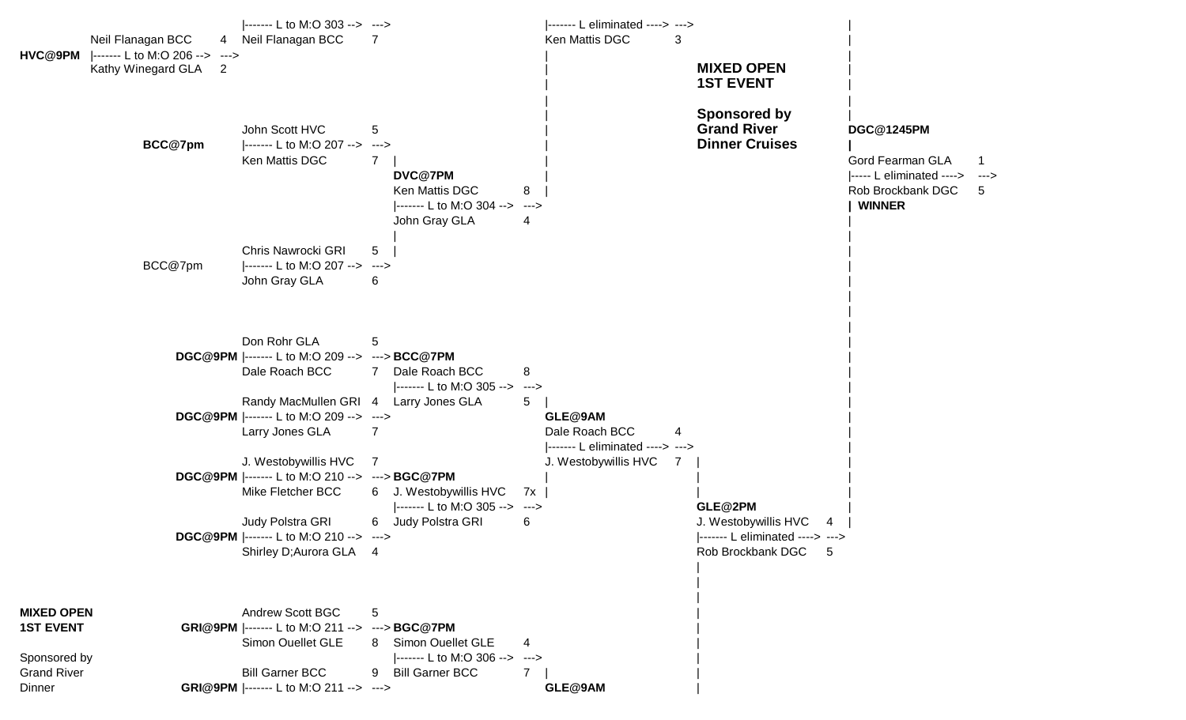